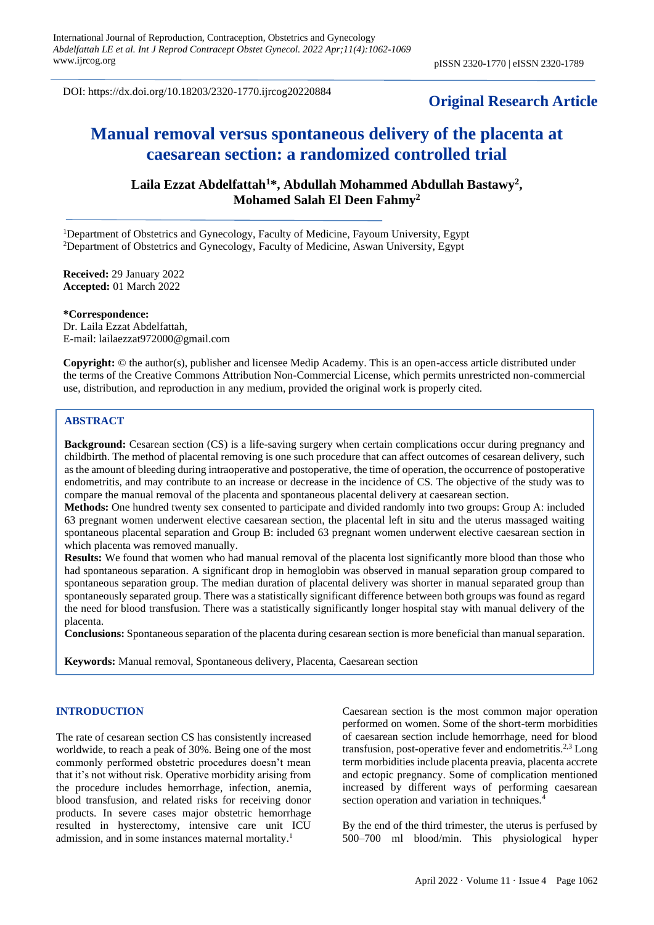DOI: https://dx.doi.org/10.18203/2320-1770.ijrcog20220884

# **Original Research Article**

# **Manual removal versus spontaneous delivery of the placenta at caesarean section: a randomized controlled trial**

**Laila Ezzat Abdelfattah<sup>1</sup>\*, Abdullah Mohammed Abdullah Bastawy<sup>2</sup> , Mohamed Salah El Deen Fahmy<sup>2</sup>**

<sup>1</sup>Department of Obstetrics and Gynecology, Faculty of Medicine, Fayoum University, Egypt <sup>2</sup>Department of Obstetrics and Gynecology, Faculty of Medicine, Aswan University, Egypt

**Received:** 29 January 2022 **Accepted:** 01 March 2022

**\*Correspondence:** Dr. Laila Ezzat Abdelfattah, E-mail: lailaezzat972000@gmail.com

**Copyright:** © the author(s), publisher and licensee Medip Academy. This is an open-access article distributed under the terms of the Creative Commons Attribution Non-Commercial License, which permits unrestricted non-commercial use, distribution, and reproduction in any medium, provided the original work is properly cited.

#### **ABSTRACT**

**Background:** Cesarean section (CS) is a life-saving surgery when certain complications occur during pregnancy and childbirth. The method of placental removing is one such procedure that can affect outcomes of cesarean delivery, such as the amount of bleeding during intraoperative and postoperative, the time of operation, the occurrence of postoperative endometritis, and may contribute to an increase or decrease in the incidence of CS. The objective of the study was to compare the manual removal of the placenta and spontaneous placental delivery at caesarean section.

**Methods:** One hundred twenty sex consented to participate and divided randomly into two groups: Group A: included 63 pregnant women underwent elective caesarean section, the placental left in situ and the uterus massaged waiting spontaneous placental separation and Group B: included 63 pregnant women underwent elective caesarean section in which placenta was removed manually.

**Results:** We found that women who had manual removal of the placenta lost significantly more blood than those who had spontaneous separation. A significant drop in hemoglobin was observed in manual separation group compared to spontaneous separation group. The median duration of placental delivery was shorter in manual separated group than spontaneously separated group. There was a statistically significant difference between both groups was found as regard the need for blood transfusion. There was a statistically significantly longer hospital stay with manual delivery of the placenta.

**Conclusions:** Spontaneous separation of the placenta during cesarean section is more beneficial than manual separation.

**Keywords:** Manual removal, Spontaneous delivery, Placenta, Caesarean section

#### **INTRODUCTION**

The rate of cesarean section CS has consistently increased worldwide, to reach a peak of 30%. Being one of the most commonly performed obstetric procedures doesn't mean that it's not without risk. Operative morbidity arising from the procedure includes hemorrhage, infection, anemia, blood transfusion, and related risks for receiving donor products. In severe cases major obstetric hemorrhage resulted in hysterectomy, intensive care unit ICU admission, and in some instances maternal mortality. 1

Caesarean section is the most common major operation performed on women. Some of the short-term morbidities of caesarean section include hemorrhage, need for blood transfusion, post-operative fever and endometritis.<sup>2,3</sup> Long term morbidities include placenta preavia, placenta accrete and ectopic pregnancy. Some of complication mentioned increased by different ways of performing caesarean section operation and variation in techniques.<sup>4</sup>

By the end of the third trimester, the uterus is perfused by 500–700 ml blood/min. This physiological hyper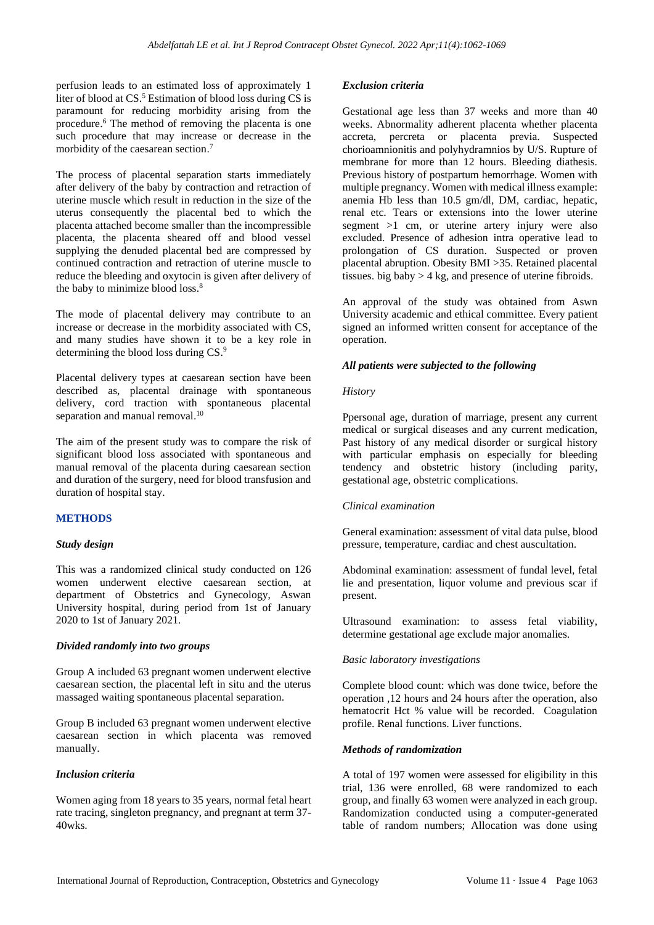perfusion leads to an estimated loss of approximately 1 liter of blood at CS. <sup>5</sup> Estimation of blood loss during CS is paramount for reducing morbidity arising from the procedure. <sup>6</sup> The method of removing the placenta is one such procedure that may increase or decrease in the morbidity of the caesarean section. 7

The process of placental separation starts immediately after delivery of the baby by contraction and retraction of uterine muscle which result in reduction in the size of the uterus consequently the placental bed to which the placenta attached become smaller than the incompressible placenta, the placenta sheared off and blood vessel supplying the denuded placental bed are compressed by continued contraction and retraction of uterine muscle to reduce the bleeding and oxytocin is given after delivery of the baby to minimize blood loss. 8

The mode of placental delivery may contribute to an increase or decrease in the morbidity associated with CS, and many studies have shown it to be a key role in determining the blood loss during CS. 9

Placental delivery types at caesarean section have been described as, placental drainage with spontaneous delivery, cord traction with spontaneous placental separation and manual removal.<sup>10</sup>

The aim of the present study was to compare the risk of significant blood loss associated with spontaneous and manual removal of the placenta during caesarean section and duration of the surgery, need for blood transfusion and duration of hospital stay.

## **METHODS**

## *Study design*

This was a randomized clinical study conducted on 126 women underwent elective caesarean section, at department of Obstetrics and Gynecology, Aswan University hospital, during period from 1st of January 2020 to 1st of January 2021.

## *Divided randomly into two groups*

Group A included 63 pregnant women underwent elective caesarean section, the placental left in situ and the uterus massaged waiting spontaneous placental separation.

Group B included 63 pregnant women underwent elective caesarean section in which placenta was removed manually.

#### *Inclusion criteria*

Women aging from 18 years to 35 years, normal fetal heart rate tracing, singleton pregnancy, and pregnant at term 37- 40wks.

#### *Exclusion criteria*

Gestational age less than 37 weeks and more than 40 weeks. Abnormality adherent placenta whether placenta accreta, percreta or placenta previa. Suspected chorioamnionitis and polyhydramnios by U/S. Rupture of membrane for more than 12 hours. Bleeding diathesis. Previous history of postpartum hemorrhage. Women with multiple pregnancy. Women with medical illness example: anemia Hb less than 10.5 gm/dl, DM, cardiac, hepatic, renal etc. Tears or extensions into the lower uterine segment >1 cm, or uterine artery injury were also excluded. Presence of adhesion intra operative lead to prolongation of CS duration. Suspected or proven placental abruption. Obesity BMI >35. Retained placental tissues. big baby  $> 4$  kg, and presence of uterine fibroids.

An approval of the study was obtained from Aswn University academic and ethical committee. Every patient signed an informed written consent for acceptance of the operation.

#### *All patients were subjected to the following*

#### *History*

Ppersonal age, duration of marriage, present any current medical or surgical diseases and any current medication, Past history of any medical disorder or surgical history with particular emphasis on especially for bleeding tendency and obstetric history (including parity, gestational age, obstetric complications.

## *Clinical examination*

General examination: assessment of vital data pulse, blood pressure, temperature, cardiac and chest auscultation.

Abdominal examination: assessment of fundal level, fetal lie and presentation, liquor volume and previous scar if present.

Ultrasound examination: to assess fetal viability, determine gestational age exclude major anomalies.

## *Basic laboratory investigations*

Complete blood count: which was done twice, before the operation ,12 hours and 24 hours after the operation, also hematocrit Hct % value will be recorded. Coagulation profile. Renal functions. Liver functions.

#### *Methods of randomization*

A total of 197 women were assessed for eligibility in this trial, 136 were enrolled, 68 were randomized to each group, and finally 63 women were analyzed in each group. Randomization conducted using a computer-generated table of random numbers; Allocation was done using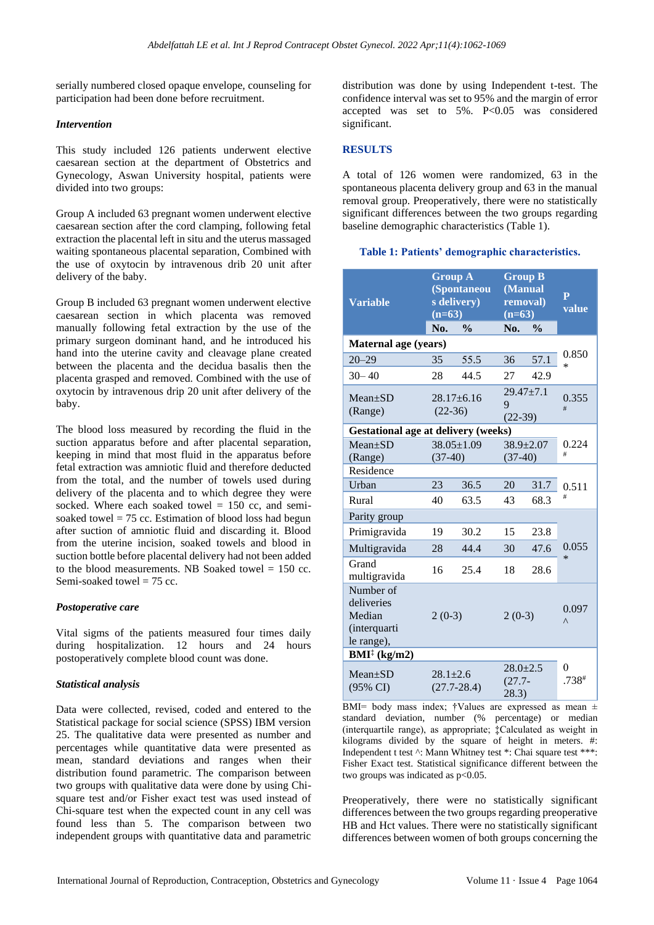serially numbered closed opaque envelope, counseling for participation had been done before recruitment.

#### *Intervention*

This study included 126 patients underwent elective caesarean section at the department of Obstetrics and Gynecology, Aswan University hospital, patients were divided into two groups:

Group A included 63 pregnant women underwent elective caesarean section after the cord clamping, following fetal extraction the placental left in situ and the uterus massaged waiting spontaneous placental separation, Combined with the use of oxytocin by intravenous drib 20 unit after delivery of the baby.

Group B included 63 pregnant women underwent elective caesarean section in which placenta was removed manually following fetal extraction by the use of the primary surgeon dominant hand, and he introduced his hand into the uterine cavity and cleavage plane created between the placenta and the decidua basalis then the placenta grasped and removed. Combined with the use of oxytocin by intravenous drip 20 unit after delivery of the baby.

The blood loss measured by recording the fluid in the suction apparatus before and after placental separation, keeping in mind that most fluid in the apparatus before fetal extraction was amniotic fluid and therefore deducted from the total, and the number of towels used during delivery of the placenta and to which degree they were socked. Where each soaked towel  $= 150$  cc, and semisoaked towel  $= 75$  cc. Estimation of blood loss had begun after suction of amniotic fluid and discarding it. Blood from the uterine incision, soaked towels and blood in suction bottle before placental delivery had not been added to the blood measurements. NB Soaked towel  $= 150$  cc. Semi-soaked towel  $= 75$  cc.

## *Postoperative care*

Vital sigms of the patients measured four times daily during hospitalization. 12 hours and 24 hours postoperatively complete blood count was done.

## *Statistical analysis*

Data were collected, revised, coded and entered to the Statistical package for social science (SPSS) IBM version 25. The qualitative data were presented as number and percentages while quantitative data were presented as mean, standard deviations and ranges when their distribution found parametric. The comparison between two groups with qualitative data were done by using Chisquare test and/or Fisher exact test was used instead of Chi-square test when the expected count in any cell was found less than 5. The comparison between two independent groups with quantitative data and parametric distribution was done by using Independent t-test. The confidence interval was set to 95% and the margin of error accepted was set to  $5\%$ . P<0.05 was considered significant.

## **RESULTS**

A total of 126 women were randomized, 63 in the spontaneous placenta delivery group and 63 in the manual removal group. Preoperatively, there were no statistically significant differences between the two groups regarding baseline demographic characteristics (Table 1).

#### **Table 1: Patients' demographic characteristics.**

| <b>Variable</b>                                                 | <b>Group A</b><br>(Spontaneou<br>s delivery)<br>$(n=63)$ |                               | <b>Group B</b><br>(Manual<br>removal)<br>$(n=63)$ |                              | $\overline{P}$<br>value |
|-----------------------------------------------------------------|----------------------------------------------------------|-------------------------------|---------------------------------------------------|------------------------------|-------------------------|
|                                                                 | No.                                                      | $\frac{0}{0}$                 | No.                                               | $\frac{0}{0}$                |                         |
| Maternal age (years)                                            |                                                          |                               |                                                   |                              |                         |
| $20 - 29$                                                       | 35                                                       | 55.5                          | 36                                                | 57.1                         | 0.850<br>$\ast$         |
| $30 - 40$                                                       | 28                                                       | 44.5                          | 27                                                | 42.9                         |                         |
| $Mean+SD$<br>(Range)                                            | $(22-36)$                                                | $28.17 + 6.16$                | 9<br>$(22-39)$                                    | $29.47 + 7.1$                | 0.355<br>#              |
| <b>Gestational age at delivery (weeks)</b>                      |                                                          |                               |                                                   |                              |                         |
| $Mean+SD$<br>(Range)                                            |                                                          | $38.05 \pm 1.09$<br>$(37-40)$ |                                                   | $38.9 \pm 2.07$<br>$(37-40)$ | 0.224<br>#              |
| Residence                                                       |                                                          |                               |                                                   |                              |                         |
| Urban                                                           | 23                                                       | 36.5                          | 20                                                | 31.7                         | 0.511                   |
| Rural                                                           | 40                                                       | 63.5                          | 43                                                | 68.3                         | #                       |
| Parity group                                                    |                                                          |                               |                                                   |                              |                         |
| Primigravida                                                    | 19                                                       | 30.2                          | 15                                                | 23.8                         |                         |
| Multigravida                                                    | 28                                                       | 44.4                          | 30                                                | 47.6                         | 0.055                   |
| Grand<br>multigravida                                           | 16                                                       | 25.4                          | 18                                                | 28.6                         | $\ast$                  |
| Number of<br>deliveries<br>Median<br>(interquarti<br>le range), | $2(0-3)$                                                 |                               | $2(0-3)$                                          |                              | 0.097<br>Λ              |
| $BMI^{\ddagger}$ (kg/m2)                                        |                                                          |                               |                                                   |                              |                         |
| $Mean+SD$<br>$(95\% \text{ CI})$                                | $28.1 \pm 2.6$                                           | $(27.7 - 28.4)$               | $28.0 \pm 2.5$<br>$(27.7 -$<br>(28.3)             |                              | 0<br>$.738*$            |

BMI= body mass index; †Values are expressed as mean  $\pm$ standard deviation, number (% percentage) or median (interquartile range), as appropriate; ‡Calculated as weight in kilograms divided by the square of height in meters. #: Independent t test  $\wedge$ : Mann Whitney test \*: Chai square test \*\*\*: Fisher Exact test. Statistical significance different between the two groups was indicated as  $p<0.05$ .

Preoperatively, there were no statistically significant differences between the two groups regarding preoperative HB and Hct values. There were no statistically significant differences between women of both groups concerning the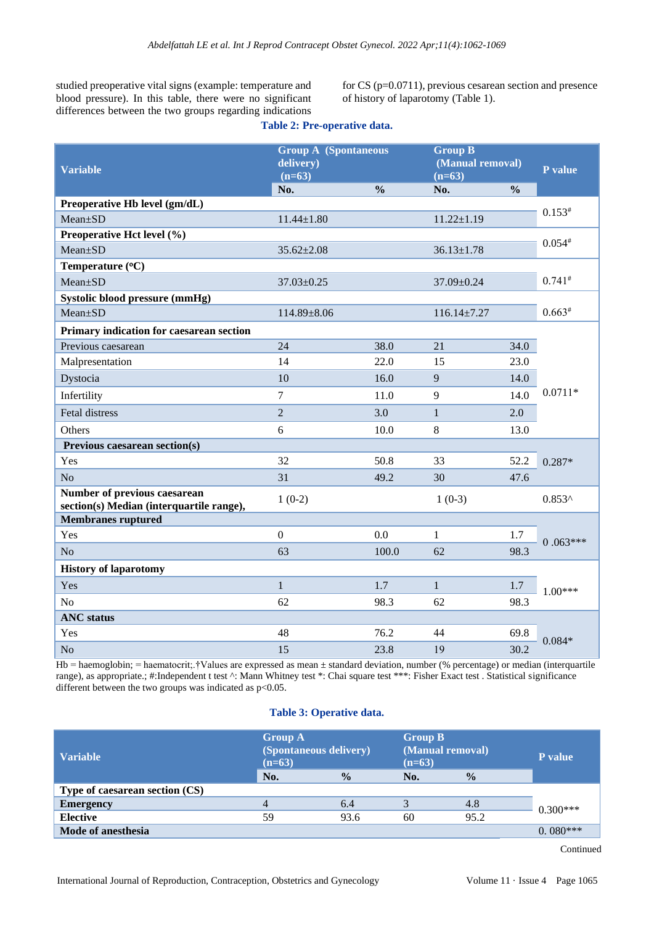studied preoperative vital signs (example: temperature and blood pressure). In this table, there were no significant differences between the two groups regarding indications for CS (p=0.0711), previous cesarean section and presence of history of laparotomy (Table 1).

| <b>Variable</b>                                                          | <b>Group A</b> (Spontaneous<br>delivery)<br>$(n=63)$<br>$\frac{0}{0}$ |       | <b>Group B</b><br>(Manual removal)<br>$(n=63)$ |               | P value    |  |
|--------------------------------------------------------------------------|-----------------------------------------------------------------------|-------|------------------------------------------------|---------------|------------|--|
| Preoperative Hb level (gm/dL)                                            | No.                                                                   |       | No.                                            | $\frac{0}{0}$ |            |  |
| Mean±SD                                                                  | $11.44 \pm 1.80$                                                      |       | $11.22 \pm 1.19$                               |               | $0.153*$   |  |
| Preoperative Hct level (%)                                               |                                                                       |       |                                                |               |            |  |
| Mean±SD                                                                  | $35.62 \pm 2.08$                                                      |       | $36.13 \pm 1.78$                               |               | $0.054*$   |  |
| Temperature (°C)                                                         |                                                                       |       |                                                |               |            |  |
| Mean±SD                                                                  | 37.03±0.25                                                            |       | 37.09±0.24                                     |               | $0.741*$   |  |
| Systolic blood pressure (mmHg)                                           |                                                                       |       |                                                |               |            |  |
| Mean±SD                                                                  | 114.89±8.06                                                           |       | $116.14 \pm 7.27$                              |               | $0.663*$   |  |
| Primary indication for caesarean section                                 |                                                                       |       |                                                |               |            |  |
| Previous caesarean                                                       | 24                                                                    | 38.0  | 21                                             | 34.0          |            |  |
| Malpresentation                                                          | 14                                                                    | 22.0  | 15                                             | 23.0          |            |  |
| Dystocia                                                                 | 10                                                                    | 16.0  | 9                                              | 14.0          | $0.0711*$  |  |
| Infertility                                                              | 7                                                                     | 11.0  | 9                                              | 14.0          |            |  |
| Fetal distress                                                           | $\overline{2}$                                                        | 3.0   | $\mathbf{1}$                                   | 2.0           |            |  |
| Others                                                                   | 6                                                                     | 10.0  | 8                                              | 13.0          |            |  |
| Previous caesarean section(s)                                            |                                                                       |       |                                                |               |            |  |
| Yes                                                                      | 32                                                                    | 50.8  | 33                                             | 52.2          | $0.287*$   |  |
| N <sub>o</sub>                                                           | 31                                                                    | 49.2  | 30                                             | 47.6          |            |  |
| Number of previous caesarean<br>section(s) Median (interquartile range), | $1(0-2)$                                                              |       | $1(0-3)$                                       |               | $0.853^$   |  |
| <b>Membranes ruptured</b>                                                |                                                                       |       |                                                |               |            |  |
| Yes                                                                      | $\boldsymbol{0}$                                                      | 0.0   | 1                                              | 1.7           | $0.063***$ |  |
| N <sub>o</sub>                                                           | 63                                                                    | 100.0 | 62                                             | 98.3          |            |  |
| <b>History of laparotomy</b>                                             |                                                                       |       |                                                |               |            |  |
| Yes                                                                      | $\mathbf{1}$                                                          | 1.7   | $\mathbf{1}$                                   | 1.7           | $1.00***$  |  |
| N <sub>o</sub>                                                           | 62                                                                    | 98.3  | 62                                             | 98.3          |            |  |
| <b>ANC</b> status                                                        |                                                                       |       |                                                |               |            |  |
| Yes                                                                      | 48                                                                    | 76.2  | 44                                             | 69.8          | $0.084*$   |  |
| N <sub>o</sub>                                                           | 15                                                                    | 23.8  | 19                                             | 30.2          |            |  |

## **Table 2: Pre-operative data.**

Hb = haemoglobin; = haematocrit;.†Values are expressed as mean ± standard deviation, number (% percentage) or median (interquartile range), as appropriate.; #:Independent t test ^: Mann Whitney test \*: Chai square test \*\*\*: Fisher Exact test . Statistical significance different between the two groups was indicated as  $p<0.05$ .

## **Table 3: Operative data.**

| <b>Variable</b>                | <b>Group A</b><br>(Spontaneous delivery)<br>$(n=63)$ |               | <b>Group B</b><br>(Manual removal)<br>$(n=63)$ |               | P value    |
|--------------------------------|------------------------------------------------------|---------------|------------------------------------------------|---------------|------------|
|                                | No.                                                  | $\frac{0}{0}$ | No.                                            | $\frac{0}{0}$ |            |
| Type of caesarean section (CS) |                                                      |               |                                                |               |            |
| <b>Emergency</b>               | 4                                                    | 6.4           |                                                | 4.8           | $0.300***$ |
| <b>Elective</b>                | 59                                                   | 93.6          | 60                                             | 95.2          |            |
| Mode of anesthesia             |                                                      |               |                                                |               | $0.080***$ |

Continued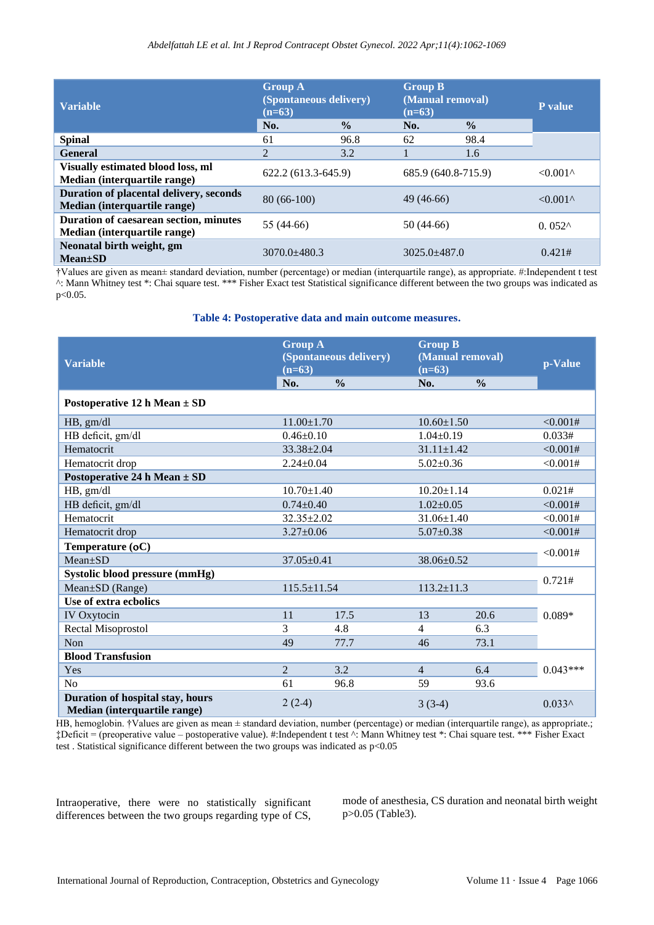| <b>Variable</b>                                                         | <b>Group A</b><br>(Spontaneous delivery)<br>$(n=63)$ |               | <b>Group B</b><br>(Manual removal)<br>$(n=63)$ |               | <b>P</b> value                           |
|-------------------------------------------------------------------------|------------------------------------------------------|---------------|------------------------------------------------|---------------|------------------------------------------|
|                                                                         | No.                                                  | $\frac{0}{0}$ | No.                                            | $\frac{0}{0}$ |                                          |
| <b>Spinal</b>                                                           | 61                                                   | 96.8          | 62                                             | 98.4          |                                          |
| <b>General</b>                                                          | 2                                                    | 3.2           |                                                | 1.6           |                                          |
| Visually estimated blood loss, ml<br>Median (interquartile range)       | 622.2 (613.3-645.9)                                  |               | 685.9 (640.8-715.9)                            |               | $< 0.001$ <sup><math>\wedge</math></sup> |
| Duration of placental delivery, seconds<br>Median (interquartile range) | $80(66-100)$                                         |               | 49 (46-66)                                     |               | $< 0.001$ <sup><math>\wedge</math></sup> |
| Duration of caesarean section, minutes<br>Median (interquartile range)  | 55 (44-66)                                           |               | 50 (44-66)                                     |               | $0.052^$                                 |
| Neonatal birth weight, gm<br>$Mean \pm SD$                              | $3070.0 + 480.3$                                     |               | $3025.0 \pm 487.0$                             |               | 0.421#                                   |

†Values are given as mean± standard deviation, number (percentage) or median (interquartile range), as appropriate. #:Independent t test ^: Mann Whitney test \*: Chai square test. \*\*\* Fisher Exact test Statistical significance different between the two groups was indicated as p<0.05.

#### **Table 4: Postoperative data and main outcome measures.**

| <b>Variable</b>                                                  | <b>Group A</b><br>(Spontaneous delivery)<br>$(n=63)$ |               | <b>Group B</b><br>(Manual removal)<br>$(n=63)$ |               | p-Value    |
|------------------------------------------------------------------|------------------------------------------------------|---------------|------------------------------------------------|---------------|------------|
|                                                                  | No.                                                  | $\frac{0}{0}$ | No.                                            | $\frac{0}{0}$ |            |
| Postoperative 12 h Mean $\pm$ SD                                 |                                                      |               |                                                |               |            |
| HB, gm/dl                                                        | $11.00 \pm 1.70$                                     |               | $10.60 \pm 1.50$                               |               | <0.001#    |
| HB deficit, gm/dl                                                | $0.46 \pm 0.10$                                      |               | $1.04 \pm 0.19$                                |               | 0.033#     |
| Hematocrit                                                       | $33.38 \pm 2.04$                                     |               | $31.11 \pm 1.42$                               |               | <0.001#    |
| Hematocrit drop                                                  | $2.24 \pm 0.04$                                      |               | $5.02 \pm 0.36$                                |               | < 0.001#   |
| Postoperative 24 h Mean $\pm$ SD                                 |                                                      |               |                                                |               |            |
| HB, gm/dl                                                        | $10.70 \pm 1.40$                                     |               | $10.20 \pm 1.14$                               |               | 0.021#     |
| HB deficit, gm/dl                                                | $0.74 \pm 0.40$                                      |               | $1.02 \pm 0.05$                                |               | <0.001#    |
| Hematocrit                                                       | $32.35 \pm 2.02$                                     |               | $31.06 \pm 1.40$                               |               | <0.001#    |
| Hematocrit drop                                                  | $3.27 \pm 0.06$                                      |               | $5.07 \pm 0.38$                                |               | < 0.001#   |
| Temperature (oC)                                                 |                                                      |               |                                                |               |            |
| $Mean+SD$                                                        | $37.05 \pm 0.41$                                     |               | 38.06±0.52                                     |               | < 0.001#   |
| Systolic blood pressure (mmHg)                                   |                                                      |               |                                                |               |            |
| Mean±SD (Range)                                                  | 115.5±11.54                                          |               | $113.2 \pm 11.3$                               |               | 0.721#     |
| Use of extra ecbolics                                            |                                                      |               |                                                |               |            |
| IV Oxytocin                                                      | 11                                                   | 17.5          | 13                                             | 20.6          | $0.089*$   |
| Rectal Misoprostol                                               | 3                                                    | 4.8           | 4                                              | 6.3           |            |
| Non                                                              | 49                                                   | 77.7          | 46                                             | 73.1          |            |
| <b>Blood Transfusion</b>                                         |                                                      |               |                                                |               |            |
| Yes                                                              | $\mathfrak{D}$                                       | 3.2           | $\overline{4}$                                 | 6.4           | $0.043***$ |
| No                                                               | 61                                                   | 96.8          | 59                                             | 93.6          |            |
| Duration of hospital stay, hours<br>Median (interquartile range) | $2(2-4)$                                             |               | $3(3-4)$                                       |               | $0.033^$   |

HB, hemoglobin. †Values are given as mean ± standard deviation, number (percentage) or median (interquartile range), as appropriate.; ‡Deficit = (preoperative value – postoperative value). #:Independent t test ^: Mann Whitney test \*: Chai square test. \*\*\* Fisher Exact test . Statistical significance different between the two groups was indicated as p<0.05

Intraoperative, there were no statistically significant differences between the two groups regarding type of CS,

mode of anesthesia, CS duration and neonatal birth weight p>0.05 (Table3).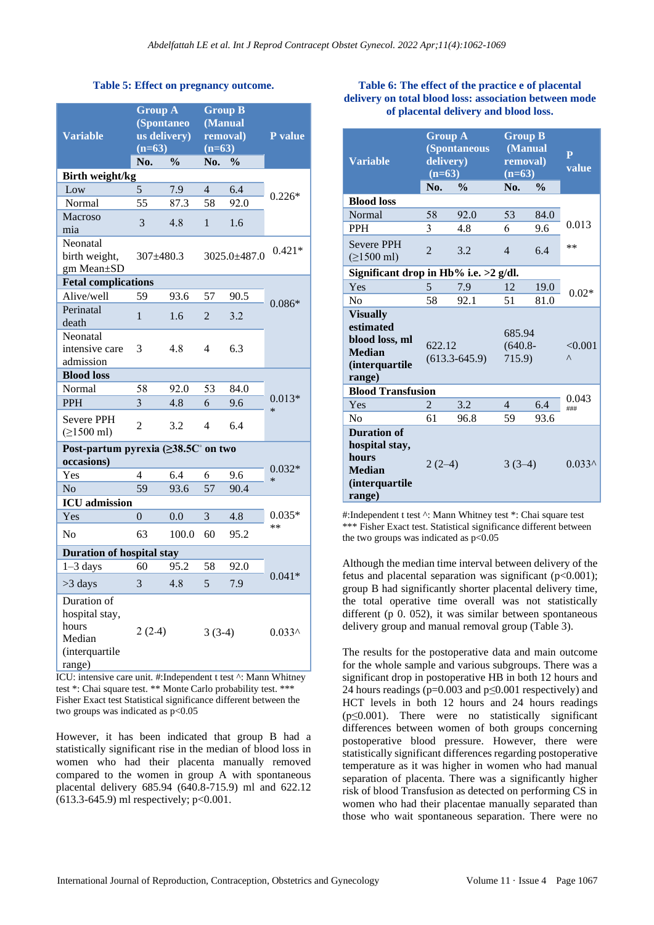## **Table 5: Effect on pregnancy outcome.**

| <b>Variable</b>                                                              | <b>Group A</b><br>(Spontaneo<br>us delivery)<br>$(n=63)$ |                          | <b>Group B</b><br>(Manual<br>$\overline{(n=63)}$ | removal)      | P value            |  |
|------------------------------------------------------------------------------|----------------------------------------------------------|--------------------------|--------------------------------------------------|---------------|--------------------|--|
|                                                                              | No.                                                      | $\overline{\frac{0}{0}}$ | No.                                              | $\frac{0}{0}$ |                    |  |
| Birth weight/kg                                                              |                                                          | 7.9                      | $\overline{4}$                                   | 6.4           |                    |  |
| Low                                                                          | 5                                                        | 87.3                     | 58                                               | 92.0          | $0.226*$           |  |
| Normal<br><b>Macroso</b><br>mia                                              | 55<br>3                                                  | 4.8                      | $\mathbf{1}$                                     | 1.6           |                    |  |
| Neonatal<br>birth weight,<br>gm Mean±SD                                      | $307 \pm 480.3$                                          |                          | $3025.0 + 487.0$                                 |               | $0.421*$           |  |
| <b>Fetal complications</b>                                                   |                                                          |                          |                                                  |               |                    |  |
| Alive/well                                                                   | 59                                                       | 93.6                     | 57                                               | 90.5          |                    |  |
| Perinatal<br>death                                                           | 1                                                        | 1.6                      | $\mathfrak{D}$                                   | 3.2           | $0.086*$           |  |
| Neonatal<br>intensive care<br>admission                                      | 3                                                        | 4.8                      | 4                                                | 6.3           |                    |  |
| <b>Blood loss</b>                                                            |                                                          |                          |                                                  |               |                    |  |
| Normal                                                                       | 58                                                       | 92.0                     | 53                                               | 84.0          |                    |  |
| PPH                                                                          | 3                                                        | 4.8                      | 6                                                | 9.6           | $0.013*$<br>$\ast$ |  |
| <b>Severe PPH</b><br>$( \ge 1500 \text{ ml})$                                | $\overline{2}$                                           | 3.2                      | $\overline{4}$                                   | 6.4           |                    |  |
| Post-partum pyrexia (≥38.5C° on two                                          |                                                          |                          |                                                  |               |                    |  |
| occasions)                                                                   |                                                          |                          |                                                  |               |                    |  |
| Yes                                                                          | 4                                                        | 6.4                      | 6                                                | 9.6           | $0.032*$<br>$\ast$ |  |
| N <sub>o</sub>                                                               | 59                                                       | 93.6                     | 57                                               | 90.4          |                    |  |
| <b>ICU</b> admission                                                         |                                                          |                          |                                                  |               |                    |  |
| Yes                                                                          | $\theta$                                                 | 0.0                      | 3                                                | 4.8           | $0.035*$           |  |
| No                                                                           | 63                                                       | 100.0                    | 60                                               | 95.2          | **                 |  |
| <b>Duration of hospital stay</b>                                             |                                                          |                          |                                                  |               |                    |  |
| $1-3$ days                                                                   | 60                                                       | 95.2                     | 58                                               | 92.0          |                    |  |
| >3 days                                                                      | $\overline{3}$                                           | 4.8                      | 5                                                | 7.9           | $0.041*$           |  |
| Duration of<br>hospital stay,<br>hours<br>Median<br>(interquartile<br>range) | $2(2-4)$                                                 |                          | $3(3-4)$                                         |               | $0.033^$           |  |

ICU: intensive care unit. #:Independent t test ^: Mann Whitney test \*: Chai square test. \*\* Monte Carlo probability test. \*\*\* Fisher Exact test Statistical significance different between the two groups was indicated as  $p<0.05$ 

However, it has been indicated that group B had a statistically significant rise in the median of blood loss in women who had their placenta manually removed compared to the women in group A with spontaneous placental delivery 685.94 (640.8-715.9) ml and 622.12 (613.3-645.9) ml respectively; p<0.001.

#### **Table 6: The effect of the practice e of placental delivery on total blood loss: association between mode of placental delivery and blood loss.**

| <b>Variable</b>                                                                                     | <b>Group A</b><br><b>(Spontaneous</b><br>delivery)<br>$(n=63)$<br>No.<br>$\frac{0}{0}$ |      | <b>Group B</b><br>(Manual<br>removal)<br>$(n=63)$<br>$\frac{0}{0}$<br>No. |      | $\overline{P}$<br>value |  |
|-----------------------------------------------------------------------------------------------------|----------------------------------------------------------------------------------------|------|---------------------------------------------------------------------------|------|-------------------------|--|
| <b>Blood loss</b>                                                                                   |                                                                                        |      |                                                                           |      |                         |  |
| Normal                                                                                              | 58                                                                                     | 92.0 | 53                                                                        | 84.0 |                         |  |
| <b>PPH</b>                                                                                          | 3                                                                                      | 4.8  | 6                                                                         | 9.6  | 0.013                   |  |
| <b>Severe PPH</b><br>$( \ge 1500 \text{ ml})$                                                       | $\mathfrak{D}$                                                                         | 3.2  | $\overline{4}$                                                            | 6.4  | $**$                    |  |
| Significant drop in Hb% i.e. >2 g/dl.                                                               |                                                                                        |      |                                                                           |      |                         |  |
| Yes                                                                                                 | 5                                                                                      | 7.9  | 12                                                                        | 19.0 | $0.02*$                 |  |
| N <sub>0</sub>                                                                                      | 58                                                                                     | 92.1 | 51                                                                        | 81.0 |                         |  |
| <b>Visually</b><br>estimated<br>blood loss, ml<br><b>Median</b><br><i>(interquartile)</i><br>range) | 622.12<br>$(613.3 - 645.9)$                                                            |      | 685.94<br>$(640.8 -$<br>715.9)                                            |      | < 0.001<br>Λ            |  |
| <b>Blood Transfusion</b>                                                                            |                                                                                        |      |                                                                           |      |                         |  |
| Yes                                                                                                 | $\mathfrak{D}$                                                                         | 3.2  | $\overline{\mathcal{L}}$                                                  | 6.4  | 0.043<br>###            |  |
| No                                                                                                  | 61                                                                                     | 96.8 | 59                                                                        | 93.6 |                         |  |
| <b>Duration</b> of<br>hospital stay,<br>hours<br><b>Median</b><br><i>(interquartile)</i><br>range)  | $2(2-4)$                                                                               |      | $3(3-4)$                                                                  |      | $0.033^$                |  |

#:Independent t test ^: Mann Whitney test \*: Chai square test \*\*\* Fisher Exact test. Statistical significance different between the two groups was indicated as  $p<0.05$ 

Although the median time interval between delivery of the fetus and placental separation was significant ( $p<0.001$ ); group B had significantly shorter placental delivery time, the total operative time overall was not statistically different (p 0. 052), it was similar between spontaneous delivery group and manual removal group (Table 3).

The results for the postoperative data and main outcome for the whole sample and various subgroups. There was a significant drop in postoperative HB in both 12 hours and 24 hours readings (p=0.003 and p≤0.001 respectively) and HCT levels in both 12 hours and 24 hours readings  $(p \le 0.001)$ . There were no statistically significant differences between women of both groups concerning postoperative blood pressure. However, there were statistically significant differences regarding postoperative temperature as it was higher in women who had manual separation of placenta. There was a significantly higher risk of blood Transfusion as detected on performing CS in women who had their placentae manually separated than those who wait spontaneous separation. There were no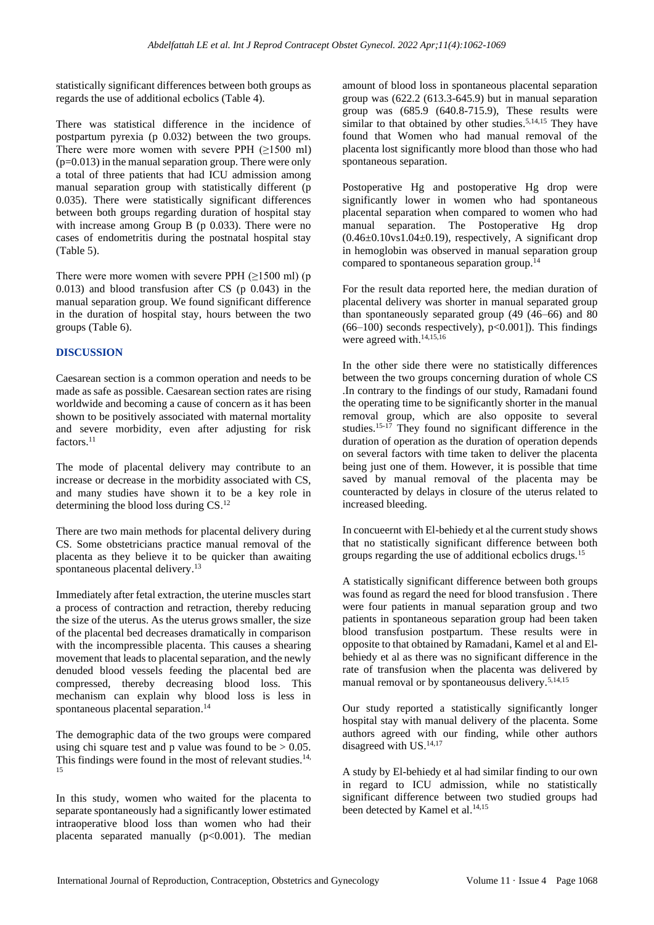statistically significant differences between both groups as regards the use of additional ecbolics (Table 4).

There was statistical difference in the incidence of postpartum pyrexia (p 0.032) between the two groups. There were more women with severe PPH  $(\geq 1500 \text{ ml})$  $(p=0.013)$  in the manual separation group. There were only a total of three patients that had ICU admission among manual separation group with statistically different (p 0.035). There were statistically significant differences between both groups regarding duration of hospital stay with increase among Group B (p 0.033). There were no cases of endometritis during the postnatal hospital stay (Table 5).

There were more women with severe PPH  $(\geq 1500 \text{ ml})$  (p 0.013) and blood transfusion after CS (p 0.043) in the manual separation group. We found significant difference in the duration of hospital stay, hours between the two groups (Table 6).

## **DISCUSSION**

Caesarean section is a common operation and needs to be made as safe as possible. Caesarean section rates are rising worldwide and becoming a cause of concern as it has been shown to be positively associated with maternal mortality and severe morbidity, even after adjusting for risk factors.<sup>11</sup>

The mode of placental delivery may contribute to an increase or decrease in the morbidity associated with CS, and many studies have shown it to be a key role in determining the blood loss during CS. 12

There are two main methods for placental delivery during CS. Some obstetricians practice manual removal of the placenta as they believe it to be quicker than awaiting spontaneous placental delivery. 13

Immediately after fetal extraction, the uterine muscles start a process of contraction and retraction, thereby reducing the size of the uterus. As the uterus grows smaller, the size of the placental bed decreases dramatically in comparison with the incompressible placenta. This causes a shearing movement that leads to placental separation, and the newly denuded blood vessels feeding the placental bed are compressed, thereby decreasing blood loss. This mechanism can explain why blood loss is less in spontaneous placental separation. 14

The demographic data of the two groups were compared using chi square test and p value was found to be  $> 0.05$ . This findings were found in the most of relevant studies.<sup>14,</sup> 15

In this study, women who waited for the placenta to separate spontaneously had a significantly lower estimated intraoperative blood loss than women who had their placenta separated manually  $(p<0.001)$ . The median amount of blood loss in spontaneous placental separation group was  $(622.2 \ (613.3-645.9)$  but in manual separation group was (685.9 (640.8-715.9), These results were similar to that obtained by other studies.<sup>5,14,15</sup> They have found that Women who had manual removal of the placenta lost significantly more blood than those who had spontaneous separation.

Postoperative Hg and postoperative Hg drop were significantly lower in women who had spontaneous placental separation when compared to women who had manual separation. The Postoperative Hg drop  $(0.46\pm0.10\text{vs}1.04\pm0.19)$ , respectively, A significant drop in hemoglobin was observed in manual separation group compared to spontaneous separation group. 14

For the result data reported here, the median duration of placental delivery was shorter in manual separated group than spontaneously separated group (49 (46–66) and 80  $(66–100)$  seconds respectively),  $p<0.001$ ]). This findings were agreed with. 14,15,16

In the other side there were no statistically differences between the two groups concerning duration of whole CS .In contrary to the findings of our study, Ramadani found the operating time to be significantly shorter in the manual removal group, which are also opposite to several studies. 15-17 They found no significant difference in the duration of operation as the duration of operation depends on several factors with time taken to deliver the placenta being just one of them. However, it is possible that time saved by manual removal of the placenta may be counteracted by delays in closure of the uterus related to increased bleeding.

In concueernt with El-behiedy et al the current study shows that no statistically significant difference between both groups regarding the use of additional ecbolics drugs.<sup>15</sup>

A statistically significant difference between both groups was found as regard the need for blood transfusion . There were four patients in manual separation group and two patients in spontaneous separation group had been taken blood transfusion postpartum. These results were in opposite to that obtained by Ramadani, Kamel et al and Elbehiedy et al as there was no significant difference in the rate of transfusion when the placenta was delivered by manual removal or by spontaneousus delivery.<sup>5,14,15</sup>

Our study reported a statistically significantly longer hospital stay with manual delivery of the placenta. Some authors agreed with our finding, while other authors disagreed with US.<sup>14,17</sup>

A study by El-behiedy et al had similar finding to our own in regard to ICU admission, while no statistically significant difference between two studied groups had been detected by Kamel et al. 14,15